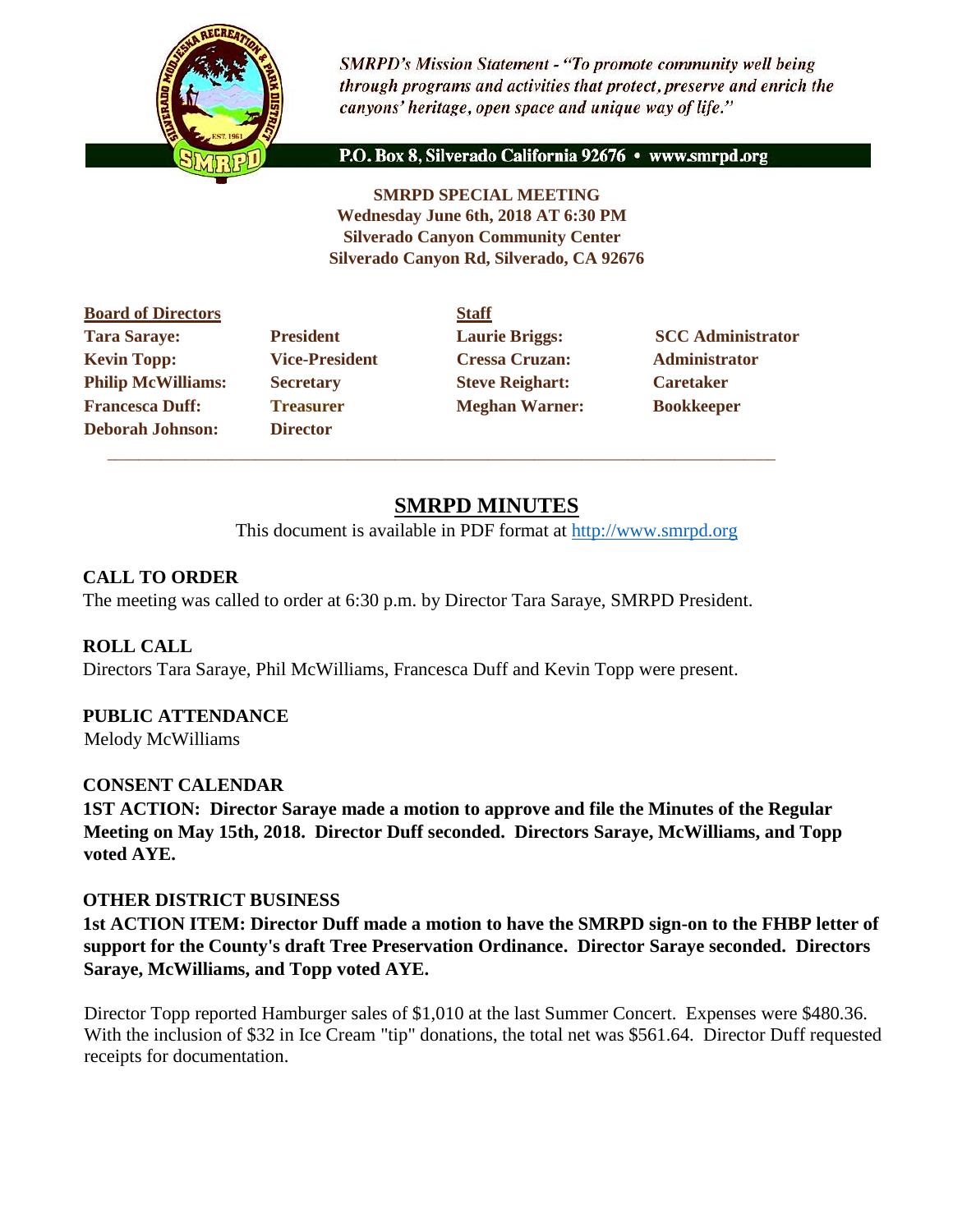

**SMRPD's Mission Statement - "To promote community well being** through programs and activities that protect, preserve and enrich the canyons' heritage, open space and unique way of life."

P.O. Box 8, Silverado California 92676 · www.smrpd.org

**SMRPD SPECIAL MEETING Wednesday June 6th, 2018 AT 6:30 PM Silverado Canyon Community Center Silverado Canyon Rd, Silverado, CA 92676** 

| <b>Board of Directors</b> |                       | <b>Staff</b>           |                          |
|---------------------------|-----------------------|------------------------|--------------------------|
| <b>Tara Saraye:</b>       | <b>President</b>      | <b>Laurie Briggs:</b>  | <b>SCC Administrator</b> |
| <b>Kevin Topp:</b>        | <b>Vice-President</b> | <b>Cressa Cruzan:</b>  | <b>Administrator</b>     |
| <b>Philip McWilliams:</b> | <b>Secretary</b>      | <b>Steve Reighart:</b> | <b>Caretaker</b>         |
| <b>Francesca Duff:</b>    | <b>Treasurer</b>      | <b>Meghan Warner:</b>  | <b>Bookkeeper</b>        |
| <b>Deborah Johnson:</b>   | <b>Director</b>       |                        |                          |
|                           |                       |                        |                          |

 $\overline{\phantom{a}}$  ,  $\overline{\phantom{a}}$  ,  $\overline{\phantom{a}}$  ,  $\overline{\phantom{a}}$  ,  $\overline{\phantom{a}}$  ,  $\overline{\phantom{a}}$  ,  $\overline{\phantom{a}}$  ,  $\overline{\phantom{a}}$  ,  $\overline{\phantom{a}}$  ,  $\overline{\phantom{a}}$  ,  $\overline{\phantom{a}}$  ,  $\overline{\phantom{a}}$  ,  $\overline{\phantom{a}}$  ,  $\overline{\phantom{a}}$  ,  $\overline{\phantom{a}}$  ,  $\overline{\phantom{a}}$ 

# **SMRPD MINUTES**

This document is available in PDF format at [http://www.smrpd.org](http://www.smrpd.org/)

## **CALL TO ORDER**

The meeting was called to order at 6:30 p.m. by Director Tara Saraye, SMRPD President.

### **ROLL CALL**

Directors Tara Saraye, Phil McWilliams, Francesca Duff and Kevin Topp were present.

### **PUBLIC ATTENDANCE**

Melody McWilliams

#### **CONSENT CALENDAR**

**1ST ACTION: Director Saraye made a motion to approve and file the Minutes of the Regular Meeting on May 15th, 2018. Director Duff seconded. Directors Saraye, McWilliams, and Topp voted AYE.**

#### **OTHER DISTRICT BUSINESS**

**1st ACTION ITEM: Director Duff made a motion to have the SMRPD sign-on to the FHBP letter of support for the County's draft Tree Preservation Ordinance. Director Saraye seconded. Directors Saraye, McWilliams, and Topp voted AYE.**

Director Topp reported Hamburger sales of \$1,010 at the last Summer Concert. Expenses were \$480.36. With the inclusion of \$32 in Ice Cream "tip" donations, the total net was \$561.64. Director Duff requested receipts for documentation.